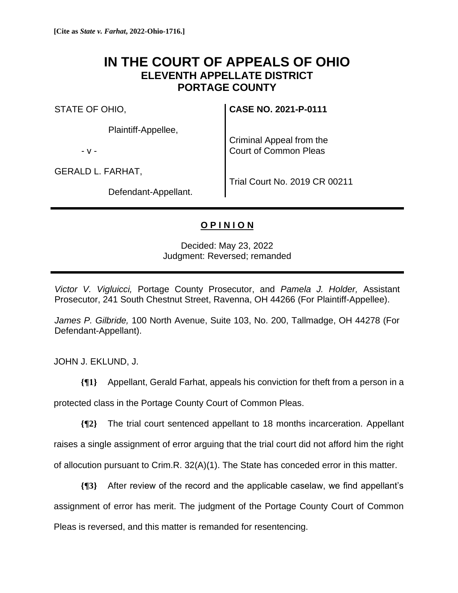## **IN THE COURT OF APPEALS OF OHIO ELEVENTH APPELLATE DISTRICT PORTAGE COUNTY**

STATE OF OHIO,

Plaintiff-Appellee,

- v -

GERALD L. FARHAT,

Defendant-Appellant.

**CASE NO. 2021-P-0111**

Criminal Appeal from the Court of Common Pleas

Trial Court No. 2019 CR 00211

## **O P I N I O N**

Decided: May 23, 2022 Judgment: Reversed; remanded

*Victor V. Vigluicci,* Portage County Prosecutor, and *Pamela J. Holder,* Assistant Prosecutor, 241 South Chestnut Street, Ravenna, OH 44266 (For Plaintiff-Appellee).

*James P. Gilbride,* 100 North Avenue, Suite 103, No. 200, Tallmadge, OH 44278 (For Defendant-Appellant).

JOHN J. EKLUND, J.

**{¶1}** Appellant, Gerald Farhat, appeals his conviction for theft from a person in a protected class in the Portage County Court of Common Pleas.

**{¶2}** The trial court sentenced appellant to 18 months incarceration. Appellant raises a single assignment of error arguing that the trial court did not afford him the right of allocution pursuant to Crim.R. 32(A)(1). The State has conceded error in this matter.

**{¶3}** After review of the record and the applicable caselaw, we find appellant's assignment of error has merit. The judgment of the Portage County Court of Common Pleas is reversed, and this matter is remanded for resentencing.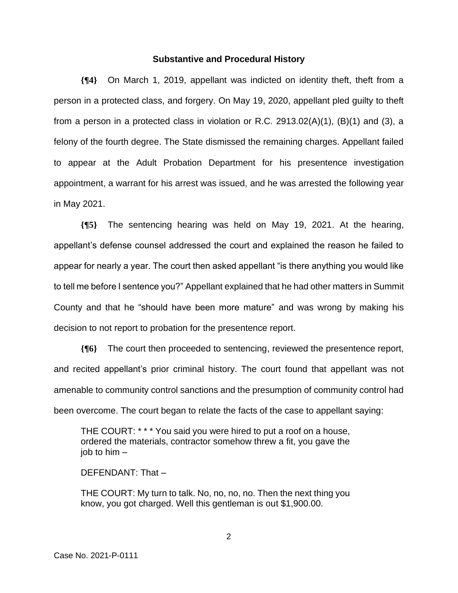## **Substantive and Procedural History**

**{¶4}** On March 1, 2019, appellant was indicted on identity theft, theft from a person in a protected class, and forgery. On May 19, 2020, appellant pled guilty to theft from a person in a protected class in violation or R.C. 2913.02(A)(1), (B)(1) and (3), a felony of the fourth degree. The State dismissed the remaining charges. Appellant failed to appear at the Adult Probation Department for his presentence investigation appointment, a warrant for his arrest was issued, and he was arrested the following year in May 2021.

**{¶5}** The sentencing hearing was held on May 19, 2021. At the hearing, appellant's defense counsel addressed the court and explained the reason he failed to appear for nearly a year. The court then asked appellant "is there anything you would like to tell me before I sentence you?" Appellant explained that he had other matters in Summit County and that he "should have been more mature" and was wrong by making his decision to not report to probation for the presentence report.

**{¶6}** The court then proceeded to sentencing, reviewed the presentence report, and recited appellant's prior criminal history. The court found that appellant was not amenable to community control sanctions and the presumption of community control had been overcome. The court began to relate the facts of the case to appellant saying:

THE COURT: \* \* \* You said you were hired to put a roof on a house, ordered the materials, contractor somehow threw a fit, you gave the job to him  $-$ 

DEFENDANT: That –

THE COURT: My turn to talk. No, no, no, no. Then the next thing you know, you got charged. Well this gentleman is out \$1,900.00.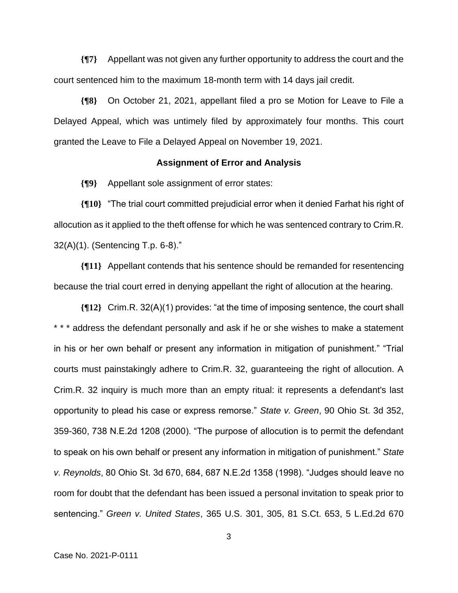**{¶7}** Appellant was not given any further opportunity to address the court and the court sentenced him to the maximum 18-month term with 14 days jail credit.

**{¶8}** On October 21, 2021, appellant filed a pro se Motion for Leave to File a Delayed Appeal, which was untimely filed by approximately four months. This court granted the Leave to File a Delayed Appeal on November 19, 2021.

## **Assignment of Error and Analysis**

**{¶9}** Appellant sole assignment of error states:

**{¶10}** "The trial court committed prejudicial error when it denied Farhat his right of allocution as it applied to the theft offense for which he was sentenced contrary to Crim.R. 32(A)(1). (Sentencing T.p. 6-8)."

**{¶11}** Appellant contends that his sentence should be remanded for resentencing because the trial court erred in denying appellant the right of allocution at the hearing.

**{¶12}** Crim.R. 32(A)(1) provides: "at the time of imposing sentence, the court shall \* \* \* address the defendant personally and ask if he or she wishes to make a statement in his or her own behalf or present any information in mitigation of punishment." "Trial courts must painstakingly adhere to Crim.R. 32, guaranteeing the right of allocution. A Crim.R. 32 inquiry is much more than an empty ritual: it represents a defendant's last opportunity to plead his case or express remorse." *State v. Green*, 90 Ohio St. 3d 352, 359-360, 738 N.E.2d 1208 (2000). "The purpose of allocution is to permit the defendant to speak on his own behalf or present any information in mitigation of punishment." *State v. Reynolds*, 80 Ohio St. 3d 670, 684, 687 N.E.2d 1358 (1998). "Judges should leave no room for doubt that the defendant has been issued a personal invitation to speak prior to sentencing." *Green v. United States*, 365 U.S. 301, 305, 81 S.Ct. 653, 5 L.Ed.2d 670

3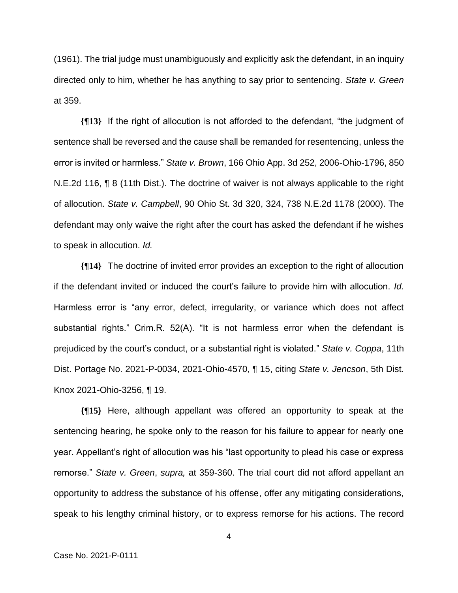(1961). The trial judge must unambiguously and explicitly ask the defendant, in an inquiry directed only to him, whether he has anything to say prior to sentencing. *State v. Green* at 359.

**{¶13}** If the right of allocution is not afforded to the defendant, "the judgment of sentence shall be reversed and the cause shall be remanded for resentencing, unless the error is invited or harmless." *State v. Brown*, 166 Ohio App. 3d 252, 2006-Ohio-1796, 850 N.E.2d 116, ¶ 8 (11th Dist.). The doctrine of waiver is not always applicable to the right of allocution. *State v. Campbell*, 90 Ohio St. 3d 320, 324, 738 N.E.2d 1178 (2000). The defendant may only waive the right after the court has asked the defendant if he wishes to speak in allocution. *Id.* 

**{¶14}** The doctrine of invited error provides an exception to the right of allocution if the defendant invited or induced the court's failure to provide him with allocution. *Id.* Harmless error is "any error, defect, irregularity, or variance which does not affect substantial rights." Crim.R. 52(A). "It is not harmless error when the defendant is prejudiced by the court's conduct, or a substantial right is violated." *State v. Coppa*, 11th Dist. Portage No. 2021-P-0034, 2021-Ohio-4570, ¶ 15, citing *State v. Jencson*, 5th Dist. Knox 2021-Ohio-3256, ¶ 19.

**{¶15}** Here, although appellant was offered an opportunity to speak at the sentencing hearing, he spoke only to the reason for his failure to appear for nearly one year. Appellant's right of allocution was his "last opportunity to plead his case or express remorse." *State v. Green*, *supra,* at 359-360. The trial court did not afford appellant an opportunity to address the substance of his offense, offer any mitigating considerations, speak to his lengthy criminal history, or to express remorse for his actions. The record

4